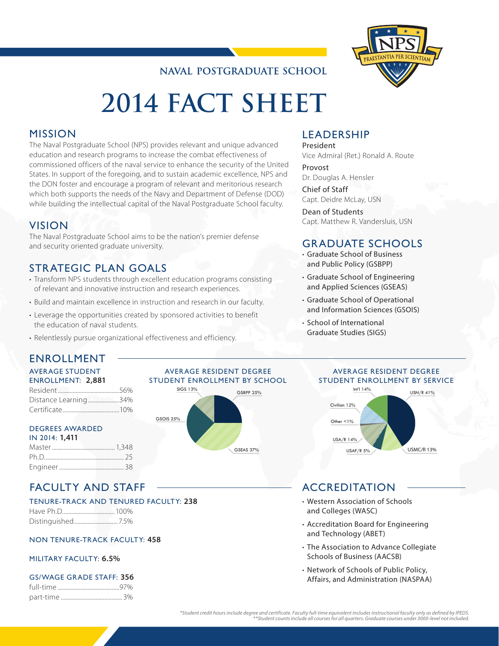# **NAVAL POSTGRADUATE SCHOOL**



# **2014 FACT SHEET**

## MISSION

The Naval Postgraduate School (NPS) provides relevant and unique advanced education and research programs to increase the combat effectiveness of commissioned officers of the naval service to enhance the security of the United States. In support of the foregoing, and to sustain academic excellence, NPS and the DON foster and encourage a program of relevant and meritorious research which both supports the needs of the Navy and Department of Defense (DOD) while building the intellectual capital of the Naval Postgraduate School faculty.

## VISION

The Naval Postgraduate School aims to be the nation's premier defense and security oriented graduate university.

# STRATEGIC PLAN GOALS

- Transform NPS students through excellent education programs consisting of relevant and innovative instruction and research experiences.
- Build and maintain excellence in instruction and research in our faculty.
- Leverage the opportunities created by sponsored activities to benefit the education of naval students.
- Relentlessly pursue organizational effectiveness and efficiency.

## LEADERSHIP

President Vice Admiral (Ret.) Ronald A. Route

Provost Dr. Douglas A. Hensler

Chief of Staff Capt. Deidre McLay, USN

Dean of Students Capt. Matthew R. Vandersluis, USN

## GRADUATE SCHOOLS

- Graduate School of Business and Public Policy (GSBPP)
- Graduate School of Engineering and Applied Sciences (GSEAS)
- Graduate School of Operational and Information Sciences (GSOIS)
- School of International Graduate Studies (SIGS)

# ENROLLMENT

#### AVERAGE STUDENT ENROLLMENT: **2,881**

| LIVING LETTER I. Z,001 |  |
|------------------------|--|
|                        |  |
| Distance Learning34%   |  |
|                        |  |

## DEGREES AWARDED

| IN 2014: 1,411 |  |
|----------------|--|
|                |  |
|                |  |
|                |  |

# FACULTY AND STAFF

## TENURE-TRACK AND TENURED FACULTY: **238**

Have Ph.D...................................100% Distinguished.............................7.5%

NON TENURE-TRACK FACULTY: **458**

## MILITARY FACULTY: **6.5%**

## GS/WAGE GRADE STAFF: **356**

#### AVERAGE RESIDENT DEGREE STUDENT ENROLLMENT BY SCHOOL



## AVERAGE RESIDENT DEGREE STUDENT ENROLLMENT BY SERVICE



# ACCREDITATION

- Western Association of Schools and Colleges (WASC)
- Accreditation Board for Engineering and Technology (ABET)
- The Association to Advance Collegiate Schools of Business (AACSB)
- Network of Schools of Public Policy, Affairs, and Administration (NASPAA)

<sup>.5</sup>Uudent credit hours include degree and certificate. Faculty full-time equivalent includes instructional faculty only as defined by IPEDS\*<br>Student counts include all courses for all quarters. Graduate courses under 3000-l